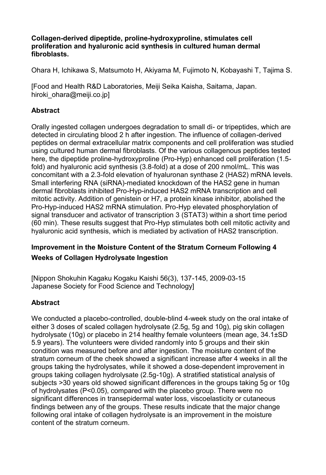Collagen erived dipeptide<sub>,</sub> hydrodixypuroline, stimulates cell proliferation and hyaluronic acid synthesis in cultured hum fibroblasts.

Ohara, I kd h i k a w,  $M$   $\delta$ t sumot  $A$  k k h y a m a  $F$   $M$   $j$  imot,  $K$   $\delta$   $\delta$  b a y a s, h Tia T ima S

[Food and Health R&D Laboratories, Meiji Seika Kaisha, Sa hiroki ohara@mleiji.co.jp

Abstract

Orally ingested collagen undergoes degtrapleption to swhind h dain detected in circulating blood 2 h after ingesti-derived influe peptides on dermal extracellular matrix components and ce using cultured human dermal fibroblastes.no Q & tcheep triadreis utses sctoe here, the dipepti-dedproxyprolin-ley of Preon hanced cell pro-liferation and  $\alpha$ fold) and hyaluronic acid foshoot had saisd 63s. B of 200 nmol/mL. This does not a dominate a dot a dot a mold concomitant with a 2.3 -fold elevation of hyaluronan synthase 2 (HA S2) mRNA levels. Small interfering R-NhAedisa ReNdAlynockdown of the HAS2 gene in dermal fibroblasts inhibit the det draw-HAS2 mRNA transcription and cell and cell and cell and cell and cell and cell and cell and cell and cell and cell and cell and cell and cell and cell and cell and cell and cell and c mitotic activity. Addition of genistein or H7, a prohteein kina ProHypinduced HAS2 mRNA stimHuylpate benva Prodet phosphorylation. signal transducer and activator of transcription 3 (STAT3)  $(60 \text{ min})$ . These results s $\frac{1}{2}$ y goestionhualta f $\frac{1}{2}$  for  $\frac{1}{2}$  cell mitotic a hyalonic acid synthesis, which is mediated by activation of

Improvement in the Moisture Content of the Stratum Corned Weeks of Collagelry shay der bnigpenst

 $[Nippon Shokuhin Kagaku Kogaku-1K445i, s26068663), 137$ Japanese Socieff pod Science and Technology]

Abstract

We conducted a-cod a treold be dleblind bu week study on the oral intake of either 3 doses of scaled collagen hydrolysate (2.5g, 5g and hydrolysate (10g) or placebo in 214 healthy female volunte 5.9 years). The volunteers were id to ided roam to a mid their sking condition was measured before and after ingestion. The mo stratum corneum of the cheek showed a significant increase groups taking the hydrolysates, whole one innostent onway be onloasted in groups taking collagen hydoml)ys at et (at biged statistical analy subjects >30 years old showed significant differences in th of hydrolysates  $(P<0.05)$ , compared with the pbacebo group significant differences in transepidermal water loss, viscoe findings between any of the groups. These results indicate following oral intake of collagen hydrolysate is an improve content the stratum corneum.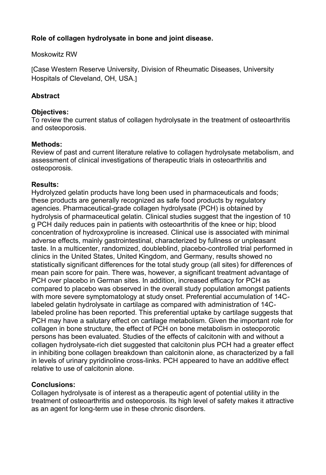Rolefcollagendrolys antheoneandoint disease

M[oskowitz](http://www.ncbi.nlm.nih.gov/pubmed?term=%22Moskowitz%20RW%22%5BAuthor%5D) RW

 $IC$  ase Western Reserve iU insivoen soi fy RhDeDui snead see Ushiversity Hospitals of Cleveland, OH, USA.

Abstract

Objectives: To review the currend istatus rolysate in treatment of osteoarthritism of the current of the controllation of  $\alpha$ and osteoporosis.

Methods: Review of past and current literated hydren hed by time of the band sand assessment of clinical investigations of therapeutic trials i osteoporosis.

Results:

Hydrolyzed gelatin products have long beaelns uasnedd for o obst; arma these products are generally recognized as safe food produ agencies. Pharm-ace do eochd regard rolys  $R$ t $E$ H) is obtained by hydrolysis of pharmaceutical gelatin. Clinical studies sugg g PB daily reduces pain in patients with osteoarthritis of the concentration of hydroxyproline is increased. Clinical use adverse effects, mainly gastrointestinal, characterized by f taste. almulticenter, randomized, doublehet brinded pot has been formed as the solution of the sense of  $\alpha$ clinics in the United States, United Kingdom, and Germany statistically significant differences for the total study grou meapain score for pain. There was, however, a significant PCH over placebo in German sites. In addition, increased  $\epsilon$ compared to placebo was observed in the overall study pop with more semptoms atology at study onset. Preferential accu labeled gelyadiolysate artilage as compared with administrati labeled proline has been reported. This preferential uptake PCH may have a sacutany cafitilage metabolism. Give to the im collagion bonetructure, the effect or entered the onism in osteoporotic persons has been evaluated. Studies of the effects of calcitoning collagheyndroly state diet gtg e sted that calcitonin plus PCH had a in inhibbiting ollagen eakdown than calcitonin alone, as charad in levels of urinary pyridriksline traspeared to have an additional and an additional effections. Put in the e relative to use of a adoption

## Conclusions:

Collage hydrolys at ef interest as a therapeutic agent of potential utility in the interest as a therapeutic agent of potential treatment of osteoarthritis and osteoporosis. Its high level as an agent ftoerrm onge in these chrosnic disorde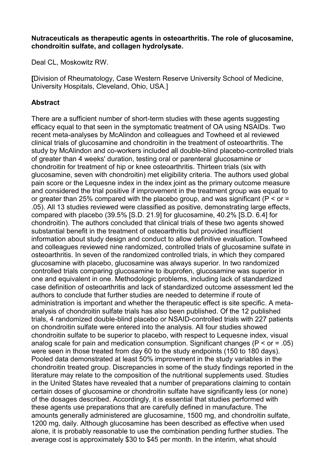Nutraceutias at lise rapeutique ntissos teoarth.riThis exploitique os am, ine  $chondroitin$  sulfandellagendrolysate.

Deal *G*ML [oskowitz](http://www.ncbi.nlm.nih.gov/pubmed?term=%22Moskowitz%20RW%22%5BAuthor%5D) RW

[Division of Rheumatology, Case Western Reserve Universit University Hospitals, Cleveland, Ohio, USA.

## Abstract

There are a sufficient n-tument bone is toufdished and the term these use agents in q efficacy equal to that seen in the symptomatic treatment of recent meentaalyses by McAlindon and colleagues and Towheed clinical trojolular or grading the ndrointin he treatment of  $\alpha$  for the  $\overline{\alpha}$  in the  $\overline{\alpha}$ study by McAlindown akhedrscoincluded-ballinddo pulbal-ce ob brolled trials of greater than 4 weeks' duration, tegting or an anolimper parenteral chondrofictin treatmost nhip or o  $k$  he e cearth  $\overline{m}$  hilds teen trials (six with  $g$ lucosamisneeven whith droitmine teligibility criteria. The authors pain score or the Lequesne index in the index joint as the and considered the tive ailf poprovement in the treatment group or greater than 25% compared with the placebo group, and .05). All 13 studies reviewed were classified as positive, d compared with place  $\beta\$ .  $D3925$   $g9 \mu$   $d$   $o$   $s$  am  $i$   $40e$ .  $2\%$  [S.D. 6.4] for chondroitin e authors concluded that cliniagents shad we confine set substantial benefit in thos the eath the unitiporfovided insufficient information about study destigt to and towher dive evaluation. and colleagues reviewed nine randomized dcocsoantsmiunled anitube trials osteoarth dintiseven of the randomized controlled trials, in w glucosamwinte placepulacosamwina salways superior. In two random controlled trials glumcposaming on ebuprogflouncosamwines superior in one and equivalent in one. Methodologic problems, includir case definition of rthamidistack of stangoluat modulared assessment led authors to conclude that further studies are needed to dete administration is important tahmed awple entificees it e specific. A analysi $\boldsymbol{\mathsf{s}}$ hoofndroitin  $\boldsymbol{\mathsf{s}}$ ruidate has also been $\boldsymbol{\mathsf{O}}$ published.  $\boldsymbol{\mathsf{a}}$  published.  $\boldsymbol{\mathsf{a}}$ trials, 4 randomizeeldind dopulcal ee bo ocroMa SrAoll Ded trials with 227 patients of the Care of Na onchondroitin werfeate entered into the analysis. All four studi chondroitin tsoulbfeat superior to placebo, with nee isnedecect, two is Lue-aqlu analog scale for pain and medication consumption. Signific were seen in those treated from day 60 to the study endpoints Pooled data demonstrated at least 50% improveimethtein the chondrodirtented group. Discrepancies in some of the study f literature may relate to the compossituipoplement dubstessch.u Sirtiutionis al in the United States have revealed that a numbecronfapinepar certain do $\mathfrak{g}$ elus coofsamoing bondroitin  $\mathbf k$ alvfeat $\mathfrak{so}$  gnificantly less (or of the dosages described. Accordingly, it is essential that the sægenusse preparations that are carefully defined in man amounts generally admignliusetersend and  $\mathbf{g}$  mg channed roitin , sulfate 1200 mg, daily. Alluthos aminianse been described as effective wh alone, it is probably reasonable to use the combination per averaget cissapproximately \$30 to \$45 per month. In the inte